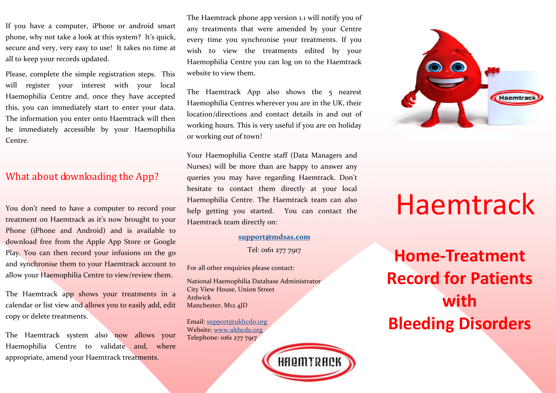If you have a computer, iPhone or android smart phone, why not take a look at this system? It's quick, secure and very, very easy to use! It takes no time at all to keep your records updated.

Please, complete the simple registration steps. This will register your interest with your local Haemophilia Centre and, once they have accepted this, you can immediately start to enter your data.The information you enter onto Haemtrack will then be immediately accessible by your Haemophilia Centre.

#### What about downloading the App?

You don't need to have a computer to record your treatment on Haemtrack as it's now brought to your Phone (iPhone and Android) and is available to download free from the Apple App Store or Google Play. You can then record your infusions on the go and synchronise them to your Haemtrack account to allow your Haemophilia Centre to view/review them.

The Haemtrack app shows your treatments in a calendar or list view and allows you to easily add, edit copy or delete treatments.

The Haemtrack system also now allows your Haemophilia Centre to validate and, where appropriate, amend your Haemtrack treatments.

The Haemtrack phone app version 1.1 will notify you of any treatments that were amended by your Centre every time you synchronise your treatments. If you wish to view the treatments edited by your Haemophilia Centre you can log on to the Haemtrack website to view them.

The Haemtrack App also shows the 5 nearest Haemophilia Centres wherever you are in the UK, their location/directions and contact details in and out of working hours. This is very useful if you are on holiday or working out of town!

Your Haemophilia Centre staff (Data Managers and Nurses) will be more than are happy to answer any queries you may have regarding Haemtrack. Don't hesitate to contact them directly at your local Haemophilia Centre. The Haemtrack team can also help getting you started. You can contact the Haemtrack team directly on:

#### **support@mdsas.com**

Tel: 0161 277 7917

For all other enquiries please contact:

National Haemophilia Database Administrator City View House, Union Street Ardwick Manchester, M12 4JD

Email: support@ukhcdo.orgWebsite: www.ukhcdo.orgTelephone: 0161 277 7917





# Haemtrack

**Home-Treatment Record for Patients with Bleeding Disorders**